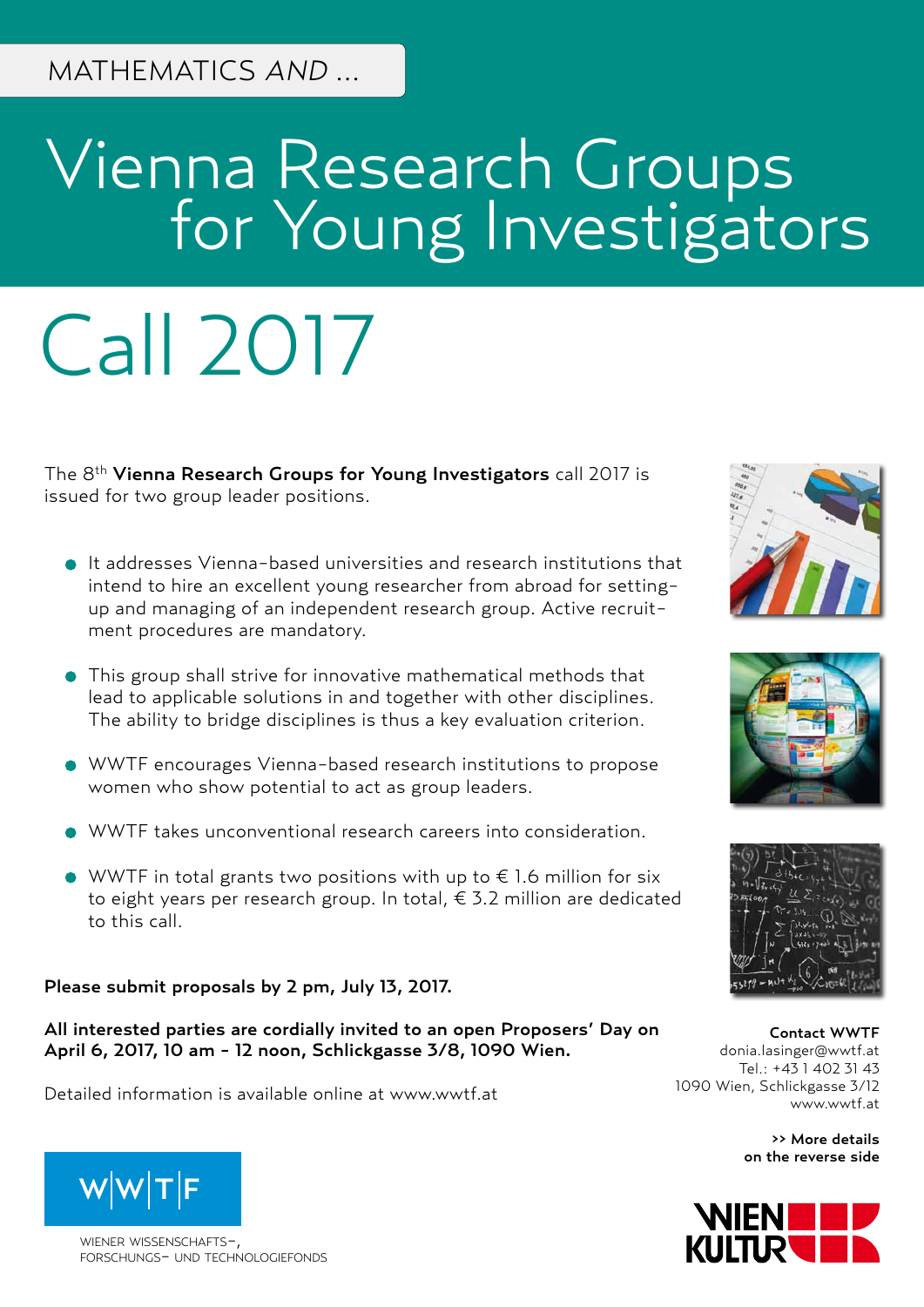# Vienna Research Groups **For Young Investigators**

# Call 2017

The 8<sup>th</sup> Vienna Research Groups for Young Investigators call 2017 is issued for two group leader positions.

- It addresses Vienna-based universities and research institutions that intend to hire an excellent young researcher from abroad for settingup and managing of an independent research group. Active recruitment procedures are mandatory.
- This group shall strive for innovative mathematical methods that lead to applicable solutions in and together with other disciplines. The ability to bridge disciplines is thus a key evaluation criterion.
- WWTF encourages Vienna-based research institutions to propose women who show potential to act as group leaders.
- WWTF takes unconventional research careers into consideration.
- WWTF in total grants two positions with up to  $\epsilon$  1.6 million for six to eight years per research group. In total, € 3.2 million are dedicated to this call.

Please submit proposals by 2 pm, July 13, 2017.

All interested parties are cordially invited to an open Proposers' Day on April 6, 2017, 10 am - 12 noon, Schlickgasse 3/8, 1090 Wien.

Detailed information is available online at [www.wwtf.at](http://www.wwtf.at)







Contact WWTF [donia.lasinger@wwtf.at](mailto:donia.lasinger%40wwtf.at%20?subject=VRG17%20Mathematics%20and%20...%20Call) Tel.: +43 1 402 31 43 1090 Wien, Schlickgasse 3/12 [www.wwtf.at](http://www.wwtf.at)

> >> More details on the reverse side





wiener wissenschafts-, forschungs- und technologiefonds